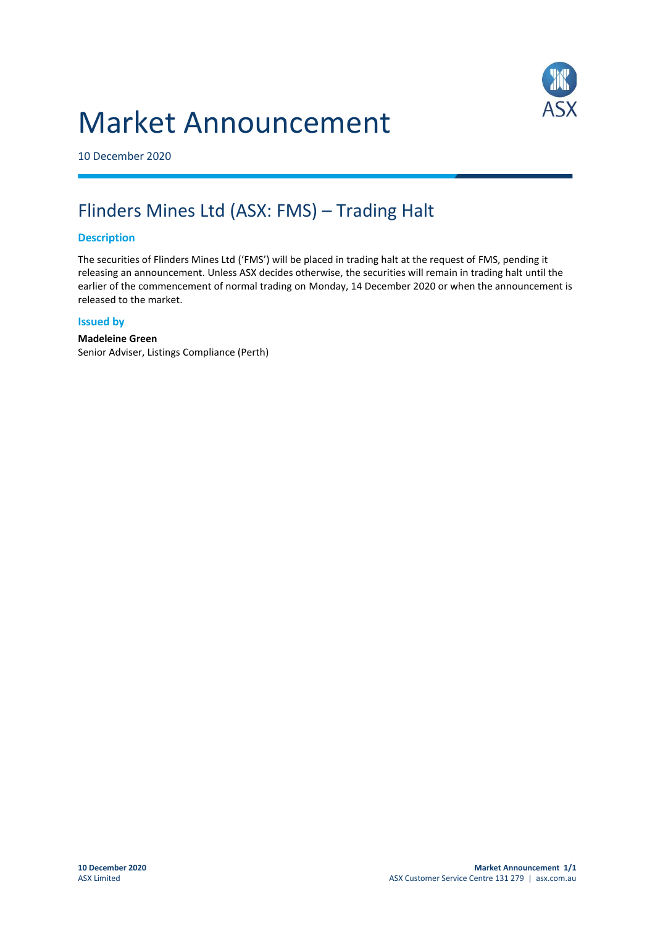# Market Announcement



10 December 2020

# Flinders Mines Ltd (ASX: FMS) – Trading Halt

### **Description**

The securities of Flinders Mines Ltd ('FMS') will be placed in trading halt at the request of FMS, pending it releasing an announcement. Unless ASX decides otherwise, the securities will remain in trading halt until the earlier of the commencement of normal trading on Monday, 14 December 2020 or when the announcement is released to the market.

#### **Issued by**

## **Madeleine Green**

Senior Adviser, Listings Compliance (Perth)